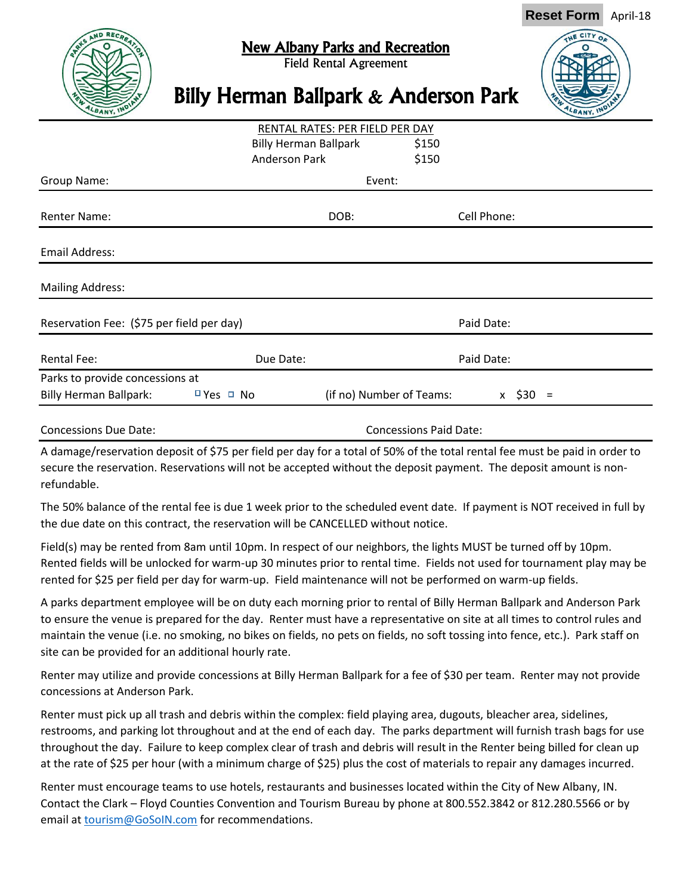

## New Albany Parks and Recreation

Field Rental Agreement

**Reset Form** April-18

## Billy Herman Ballpark & Anderson Park

| RENTAL RATES: PER FIELD PER DAY           |                              |                               |                          |              |  |
|-------------------------------------------|------------------------------|-------------------------------|--------------------------|--------------|--|
|                                           | <b>Billy Herman Ballpark</b> |                               | \$150                    |              |  |
|                                           | <b>Anderson Park</b>         |                               | \$150                    |              |  |
| Group Name:                               |                              | Event:                        |                          |              |  |
| <b>Renter Name:</b>                       |                              | DOB:                          |                          | Cell Phone:  |  |
| Email Address:                            |                              |                               |                          |              |  |
| <b>Mailing Address:</b>                   |                              |                               |                          |              |  |
| Reservation Fee: (\$75 per field per day) |                              |                               | Paid Date:               |              |  |
| <b>Rental Fee:</b>                        |                              | Due Date:                     |                          | Paid Date:   |  |
| Parks to provide concessions at           |                              |                               |                          |              |  |
| <b>Billy Herman Ballpark:</b>             | $P$ Yes $\Box$ No            |                               | (if no) Number of Teams: | $x \, 530 =$ |  |
| <b>Concessions Due Date:</b>              |                              | <b>Concessions Paid Date:</b> |                          |              |  |

A damage/reservation deposit of \$75 per field per day for a total of 50% of the total rental fee must be paid in order to secure the reservation. Reservations will not be accepted without the deposit payment. The deposit amount is nonrefundable.

The 50% balance of the rental fee is due 1 week prior to the scheduled event date. If payment is NOT received in full by the due date on this contract, the reservation will be CANCELLED without notice.

Field(s) may be rented from 8am until 10pm. In respect of our neighbors, the lights MUST be turned off by 10pm. Rented fields will be unlocked for warm-up 30 minutes prior to rental time. Fields not used for tournament play may be rented for \$25 per field per day for warm-up. Field maintenance will not be performed on warm-up fields.

A parks department employee will be on duty each morning prior to rental of Billy Herman Ballpark and Anderson Park to ensure the venue is prepared for the day. Renter must have a representative on site at all times to control rules and maintain the venue (i.e. no smoking, no bikes on fields, no pets on fields, no soft tossing into fence, etc.). Park staff on site can be provided for an additional hourly rate.

Renter may utilize and provide concessions at Billy Herman Ballpark for a fee of \$30 per team. Renter may not provide concessions at Anderson Park.

Renter must pick up all trash and debris within the complex: field playing area, dugouts, bleacher area, sidelines, restrooms, and parking lot throughout and at the end of each day. The parks department will furnish trash bags for use throughout the day. Failure to keep complex clear of trash and debris will result in the Renter being billed for clean up at the rate of \$25 per hour (with a minimum charge of \$25) plus the cost of materials to repair any damages incurred.

Renter must encourage teams to use hotels, restaurants and businesses located within the City of New Albany, IN. Contact the Clark – Floyd Counties Convention and Tourism Bureau by phone at 800.552.3842 or 812.280.5566 or by email at **tourism@GoSoIN.com** for recommendations.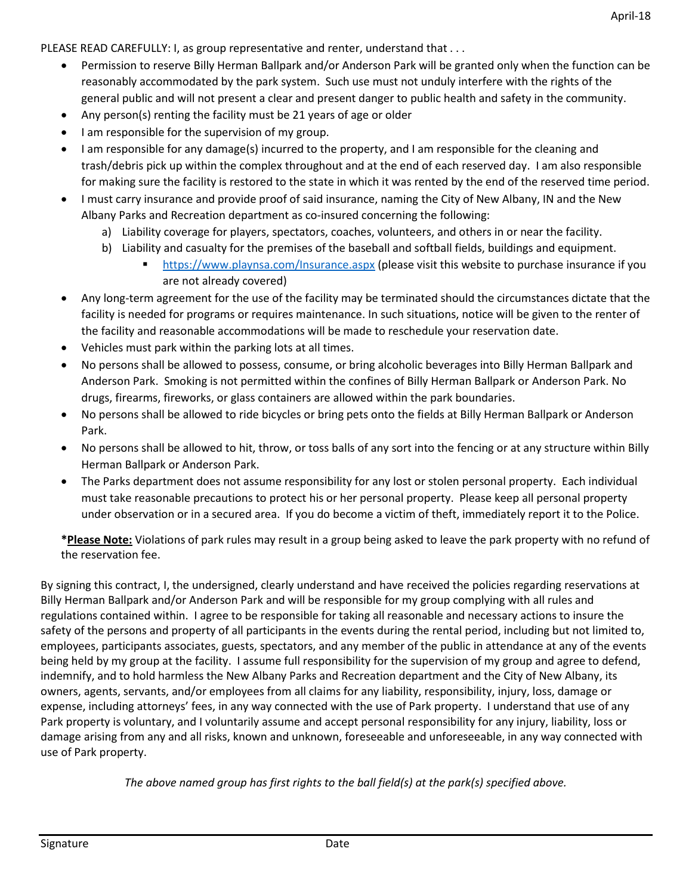PLEASE READ CAREFULLY: I, as group representative and renter, understand that . . .

- Permission to reserve Billy Herman Ballpark and/or Anderson Park will be granted only when the function can be reasonably accommodated by the park system. Such use must not unduly interfere with the rights of the general public and will not present a clear and present danger to public health and safety in the community.
- Any person(s) renting the facility must be 21 years of age or older
- $\bullet$  I am responsible for the supervision of my group.
- I am responsible for any damage(s) incurred to the property, and I am responsible for the cleaning and trash/debris pick up within the complex throughout and at the end of each reserved day. I am also responsible for making sure the facility is restored to the state in which it was rented by the end of the reserved time period.
- I must carry insurance and provide proof of said insurance, naming the City of New Albany, IN and the New Albany Parks and Recreation department as co-insured concerning the following:
	- a) Liability coverage for players, spectators, coaches, volunteers, and others in or near the facility.
	- b) Liability and casualty for the premises of the baseball and softball fields, buildings and equipment.
		- **<https://www.playnsa.com/Insurance.aspx> (please visit this website to purchase insurance if you** are not already covered)
- Any long-term agreement for the use of the facility may be terminated should the circumstances dictate that the facility is needed for programs or requires maintenance. In such situations, notice will be given to the renter of the facility and reasonable accommodations will be made to reschedule your reservation date.
- Vehicles must park within the parking lots at all times.
- No persons shall be allowed to possess, consume, or bring alcoholic beverages into Billy Herman Ballpark and Anderson Park. Smoking is not permitted within the confines of Billy Herman Ballpark or Anderson Park. No drugs, firearms, fireworks, or glass containers are allowed within the park boundaries.
- No persons shall be allowed to ride bicycles or bring pets onto the fields at Billy Herman Ballpark or Anderson Park.
- No persons shall be allowed to hit, throw, or toss balls of any sort into the fencing or at any structure within Billy Herman Ballpark or Anderson Park.
- The Parks department does not assume responsibility for any lost or stolen personal property. Each individual must take reasonable precautions to protect his or her personal property. Please keep all personal property under observation or in a secured area. If you do become a victim of theft, immediately report it to the Police.

**\*Please Note:** Violations of park rules may result in a group being asked to leave the park property with no refund of the reservation fee.

By signing this contract, I, the undersigned, clearly understand and have received the policies regarding reservations at Billy Herman Ballpark and/or Anderson Park and will be responsible for my group complying with all rules and regulations contained within. I agree to be responsible for taking all reasonable and necessary actions to insure the safety of the persons and property of all participants in the events during the rental period, including but not limited to, employees, participants associates, guests, spectators, and any member of the public in attendance at any of the events being held by my group at the facility. I assume full responsibility for the supervision of my group and agree to defend, indemnify, and to hold harmless the New Albany Parks and Recreation department and the City of New Albany, its owners, agents, servants, and/or employees from all claims for any liability, responsibility, injury, loss, damage or expense, including attorneys' fees, in any way connected with the use of Park property. I understand that use of any Park property is voluntary, and I voluntarily assume and accept personal responsibility for any injury, liability, loss or damage arising from any and all risks, known and unknown, foreseeable and unforeseeable, in any way connected with use of Park property.

*The above named group has first rights to the ball field(s) at the park(s) specified above.*